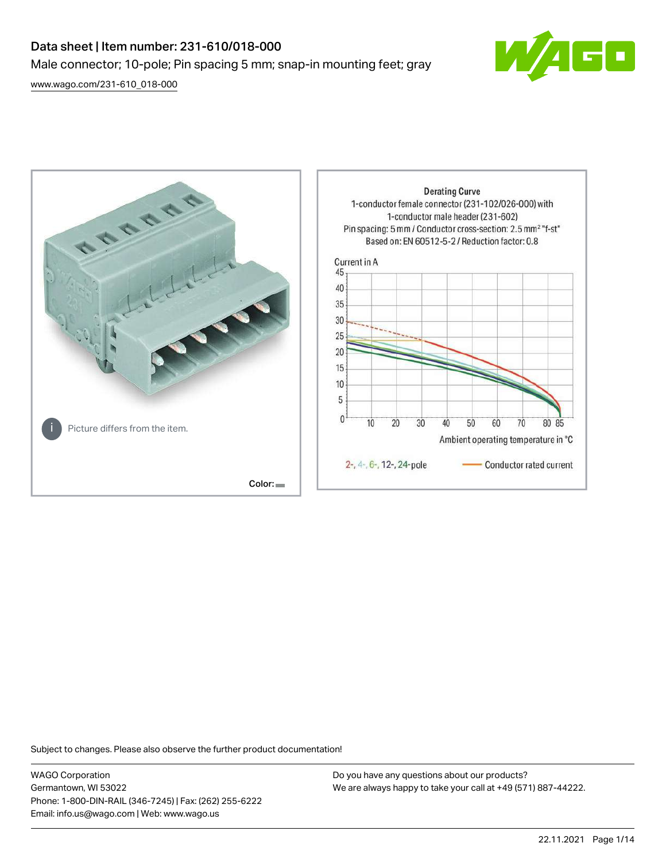# Data sheet | Item number: 231-610/018-000 Male connector; 10-pole; Pin spacing 5 mm; snap-in mounting feet; gray [www.wago.com/231-610\\_018-000](http://www.wago.com/231-610_018-000)

 $\boxed{\blacksquare}$ 



Subject to changes. Please also observe the further product documentation!

WAGO Corporation Germantown, WI 53022 Phone: 1-800-DIN-RAIL (346-7245) | Fax: (262) 255-6222 Email: info.us@wago.com | Web: www.wago.us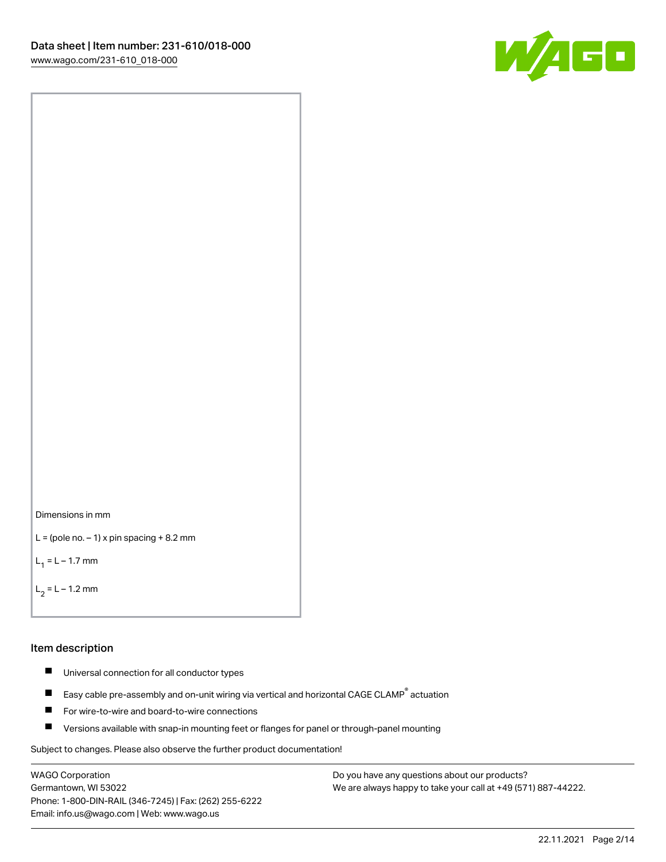



```
L = (pole no. -1) x pin spacing +8.2 mm
```
 $L_1 = L - 1.7$  mm

```
L_2 = L - 1.2 mm
```
#### Item description

- $\blacksquare$ Universal connection for all conductor types
- Easy cable pre-assembly and on-unit wiring via vertical and horizontal CAGE CLAMP<sup>®</sup> actuation  $\blacksquare$
- $\blacksquare$ For wire-to-wire and board-to-wire connections
- $\blacksquare$ Versions available with snap-in mounting feet or flanges for panel or through-panel mounting

Subject to changes. Please also observe the further product documentation!

WAGO Corporation Germantown, WI 53022 Phone: 1-800-DIN-RAIL (346-7245) | Fax: (262) 255-6222 Email: info.us@wago.com | Web: www.wago.us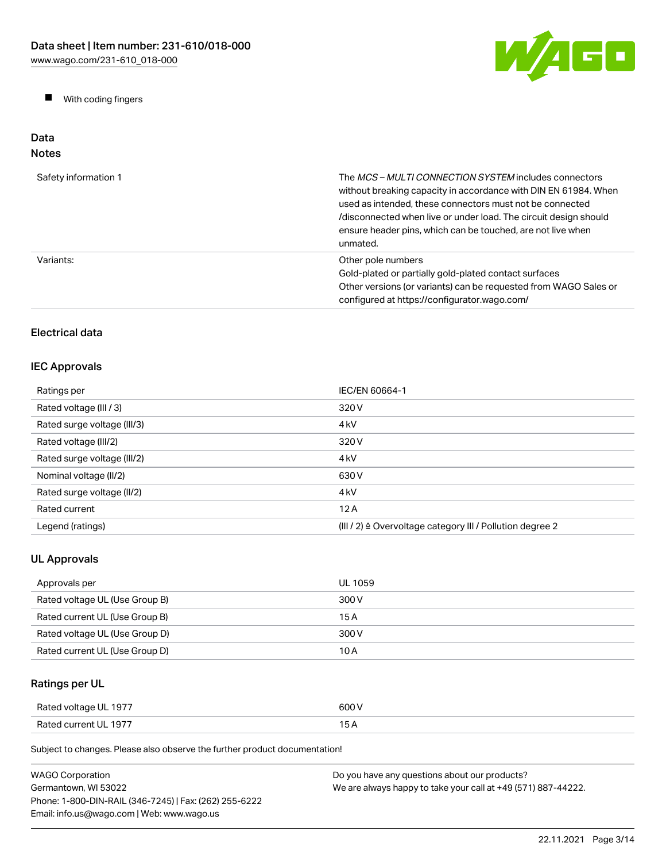W/AGO

 $\blacksquare$ With coding fingers

#### Data Notes

| Safety information 1 | The <i>MCS - MULTI CONNECTION SYSTEM</i> includes connectors<br>without breaking capacity in accordance with DIN EN 61984. When<br>used as intended, these connectors must not be connected<br>/disconnected when live or under load. The circuit design should<br>ensure header pins, which can be touched, are not live when<br>unmated. |
|----------------------|--------------------------------------------------------------------------------------------------------------------------------------------------------------------------------------------------------------------------------------------------------------------------------------------------------------------------------------------|
| Variants:            | Other pole numbers<br>Gold-plated or partially gold-plated contact surfaces<br>Other versions (or variants) can be requested from WAGO Sales or<br>configured at https://configurator.wago.com/                                                                                                                                            |

## Electrical data

## IEC Approvals

| Ratings per                 | IEC/EN 60664-1                                                       |
|-----------------------------|----------------------------------------------------------------------|
| Rated voltage (III / 3)     | 320 V                                                                |
| Rated surge voltage (III/3) | 4 <sub>kV</sub>                                                      |
| Rated voltage (III/2)       | 320 V                                                                |
| Rated surge voltage (III/2) | 4 <sub>k</sub> V                                                     |
| Nominal voltage (II/2)      | 630 V                                                                |
| Rated surge voltage (II/2)  | 4 <sub>k</sub> V                                                     |
| Rated current               | 12A                                                                  |
| Legend (ratings)            | (III / 2) $\triangleq$ Overvoltage category III / Pollution degree 2 |

## UL Approvals

| Approvals per                  | UL 1059 |
|--------------------------------|---------|
| Rated voltage UL (Use Group B) | 300 V   |
| Rated current UL (Use Group B) | 15 A    |
| Rated voltage UL (Use Group D) | 300 V   |
| Rated current UL (Use Group D) | 10 A    |

## Ratings per UL

| Rated voltage UL 1977 | 600 V |
|-----------------------|-------|
| Rated current UL 1977 | 15 A  |

Subject to changes. Please also observe the further product documentation!

| <b>WAGO Corporation</b>                                | Do you have any questions about our products?                 |
|--------------------------------------------------------|---------------------------------------------------------------|
| Germantown. WI 53022                                   | We are always happy to take your call at +49 (571) 887-44222. |
| Phone: 1-800-DIN-RAIL (346-7245)   Fax: (262) 255-6222 |                                                               |
| Email: info.us@wago.com   Web: www.wago.us             |                                                               |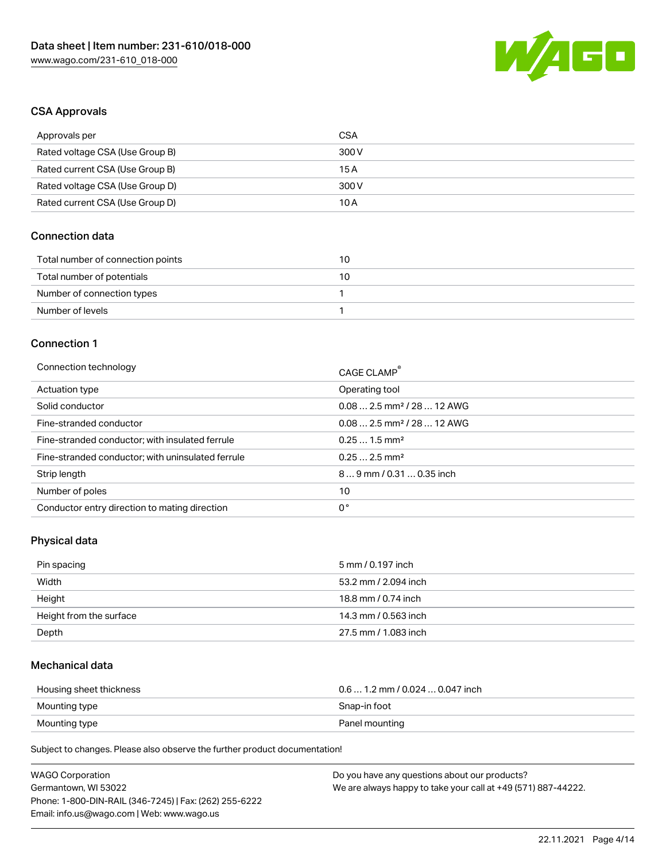

### CSA Approvals

| Approvals per                   | CSA   |
|---------------------------------|-------|
| Rated voltage CSA (Use Group B) | 300 V |
| Rated current CSA (Use Group B) | 15 A  |
| Rated voltage CSA (Use Group D) | 300 V |
| Rated current CSA (Use Group D) | 10 A  |

#### Connection data

| Total number of connection points | 10 |
|-----------------------------------|----|
| Total number of potentials        | 10 |
| Number of connection types        |    |
| Number of levels                  |    |

#### Connection 1

| Connection technology                             | CAGE CLAMP <sup>®</sup>                |
|---------------------------------------------------|----------------------------------------|
| Actuation type                                    | Operating tool                         |
| Solid conductor                                   | $0.082.5$ mm <sup>2</sup> / 28  12 AWG |
| Fine-stranded conductor                           | $0.082.5$ mm <sup>2</sup> / 28  12 AWG |
| Fine-stranded conductor; with insulated ferrule   | $0.251.5$ mm <sup>2</sup>              |
| Fine-stranded conductor; with uninsulated ferrule | $0.252.5$ mm <sup>2</sup>              |
| Strip length                                      | 89 mm / 0.31  0.35 inch                |
| Number of poles                                   | 10                                     |
| Conductor entry direction to mating direction     | 0°                                     |

## Physical data

| Pin spacing             | 5 mm / 0.197 inch    |
|-------------------------|----------------------|
| Width                   | 53.2 mm / 2.094 inch |
| Height                  | 18.8 mm / 0.74 inch  |
| Height from the surface | 14.3 mm / 0.563 inch |
| Depth                   | 27.5 mm / 1.083 inch |

### Mechanical data

| Housing sheet thickness | $0.6$ 1.2 mm / 0.024 $$ 0.047 inch |
|-------------------------|------------------------------------|
| Mounting type           | Snap-in foot                       |
| Mounting type           | Panel mounting                     |

Subject to changes. Please also observe the further product documentation!

| <b>WAGO Corporation</b>                                | Do you have any questions about our products?                 |
|--------------------------------------------------------|---------------------------------------------------------------|
| Germantown, WI 53022                                   | We are always happy to take your call at +49 (571) 887-44222. |
| Phone: 1-800-DIN-RAIL (346-7245)   Fax: (262) 255-6222 |                                                               |
| Email: info.us@wago.com   Web: www.wago.us             |                                                               |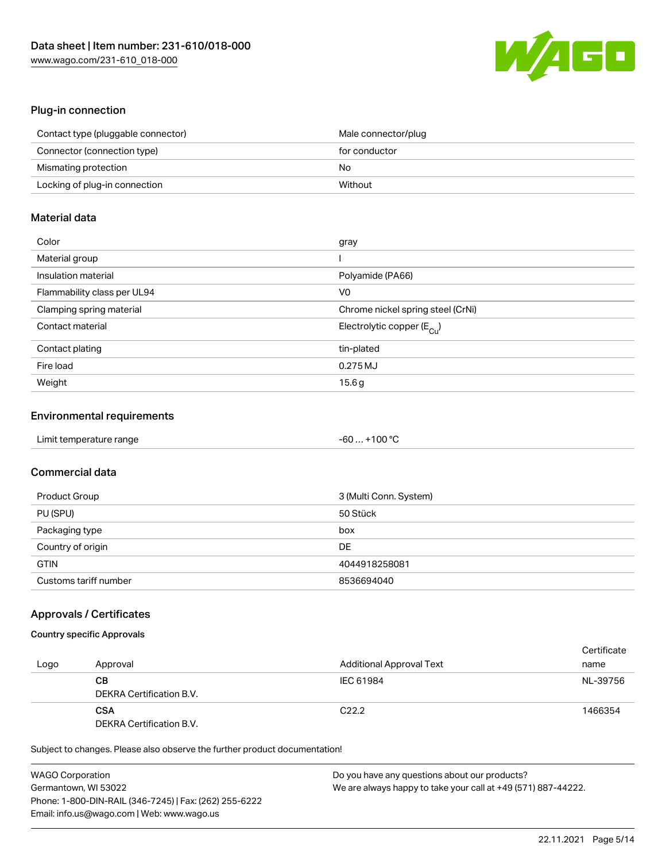

#### Plug-in connection

| Contact type (pluggable connector) | Male connector/plug |
|------------------------------------|---------------------|
| Connector (connection type)        | for conductor       |
| Mismating protection               | No                  |
| Locking of plug-in connection      | Without             |

### Material data

| Color                       | gray                                  |
|-----------------------------|---------------------------------------|
| Material group              |                                       |
| Insulation material         | Polyamide (PA66)                      |
| Flammability class per UL94 | V0                                    |
| Clamping spring material    | Chrome nickel spring steel (CrNi)     |
| Contact material            | Electrolytic copper $(E_{\text{Cl}})$ |
| Contact plating             | tin-plated                            |
| Fire load                   | 0.275 MJ                              |
| Weight                      | 15.6g                                 |

#### Environmental requirements

| Limit temperature range | $-60+100 °C$ |  |
|-------------------------|--------------|--|
|-------------------------|--------------|--|

## Commercial data

| Product Group         | 3 (Multi Conn. System) |
|-----------------------|------------------------|
| PU (SPU)              | 50 Stück               |
| Packaging type        | box                    |
| Country of origin     | DE                     |
| <b>GTIN</b>           | 4044918258081          |
| Customs tariff number | 8536694040             |

#### Approvals / Certificates

### Country specific Approvals

| Logo | Approval                               | <b>Additional Approval Text</b> | Certificate<br>name |
|------|----------------------------------------|---------------------------------|---------------------|
|      | CВ<br>DEKRA Certification B.V.         | IEC 61984                       | NL-39756            |
|      | <b>CSA</b><br>DEKRA Certification B.V. | C <sub>22.2</sub>               | 1466354             |

Subject to changes. Please also observe the further product documentation!

| <b>WAGO Corporation</b>                                | Do you have any questions about our products?                 |
|--------------------------------------------------------|---------------------------------------------------------------|
| Germantown, WI 53022                                   | We are always happy to take your call at +49 (571) 887-44222. |
| Phone: 1-800-DIN-RAIL (346-7245)   Fax: (262) 255-6222 |                                                               |
| Email: info.us@wago.com   Web: www.wago.us             |                                                               |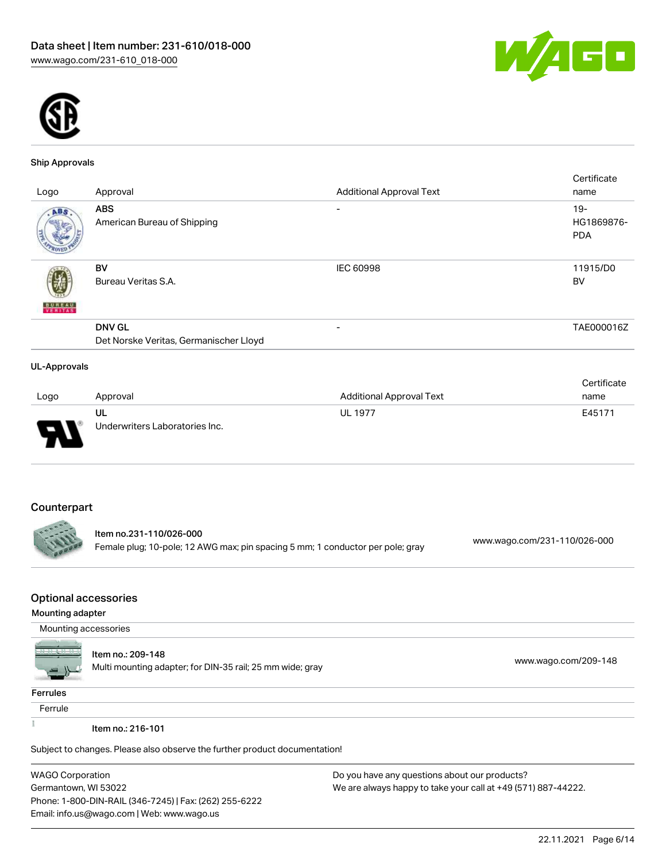



#### Ship Approvals

|                     |                                                         |                                 | Certificate                       |
|---------------------|---------------------------------------------------------|---------------------------------|-----------------------------------|
| Logo                | Approval                                                | <b>Additional Approval Text</b> | name                              |
| ABS.                | <b>ABS</b><br>American Bureau of Shipping               |                                 | $19-$<br>HG1869876-<br><b>PDA</b> |
| <b>BUREAU</b>       | BV<br>Bureau Veritas S.A.                               | <b>IEC 60998</b>                | 11915/D0<br>BV                    |
|                     | <b>DNV GL</b><br>Det Norske Veritas, Germanischer Lloyd | $\overline{\phantom{0}}$        | TAE000016Z                        |
| <b>UL-Approvals</b> |                                                         |                                 |                                   |

|                          |                                |                          | Certificate |
|--------------------------|--------------------------------|--------------------------|-------------|
| Logo                     | Approval                       | Additional Approval Text | name        |
|                          | UL                             | <b>UL 1977</b>           | E45171      |
| $\overline{\phantom{0}}$ | Underwriters Laboratories Inc. |                          |             |

## Counterpart

. .

Item no.231-110/026-000 Female plug; 10-pole; 12 AWG max; pin spacing 5 mm; 1 conductor per pole; gray [www.wago.com/231-110/026-000](https://www.wago.com/231-110/026-000)

#### Optional accessories

#### Mounting adapter

Mounting accessories



#### Item no.: 209-148

nem no... 209-140<br>Multi mounting adapter; for DIN-35 rail; 25 mm wide; gray [www.wago.com/209-148](http://www.wago.com/209-148)

#### **Ferrules**

Ferrule

 $\frac{1}{2}$ 

Item no.: 216-101

Subject to changes. Please also observe the further product documentation!

WAGO Corporation Germantown, WI 53022 Phone: 1-800-DIN-RAIL (346-7245) | Fax: (262) 255-6222 Email: info.us@wago.com | Web: www.wago.us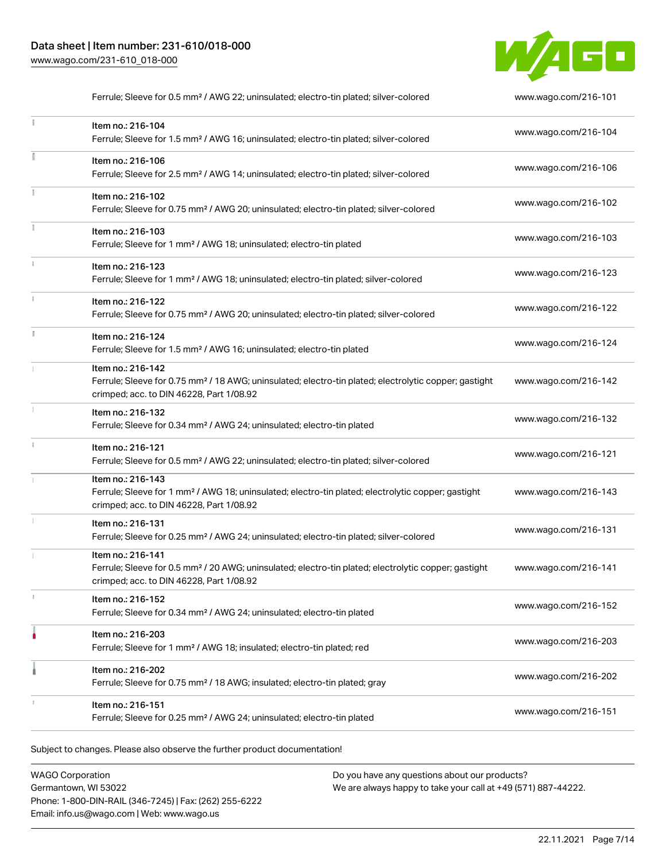### Data sheet | Item number: 231-610/018-000 [www.wago.com/231-610\\_018-000](http://www.wago.com/231-610_018-000)



|    | Ferrule; Sleeve for 0.5 mm <sup>2</sup> / AWG 22; uninsulated; electro-tin plated; silver-colored                                                                                  | www.wago.com/216-101 |
|----|------------------------------------------------------------------------------------------------------------------------------------------------------------------------------------|----------------------|
|    | Item no.: 216-104<br>Ferrule; Sleeve for 1.5 mm <sup>2</sup> / AWG 16; uninsulated; electro-tin plated; silver-colored                                                             | www.wago.com/216-104 |
|    | Item no.: 216-106<br>Ferrule; Sleeve for 2.5 mm <sup>2</sup> / AWG 14; uninsulated; electro-tin plated; silver-colored                                                             | www.wago.com/216-106 |
|    | Item no.: 216-102<br>Ferrule; Sleeve for 0.75 mm <sup>2</sup> / AWG 20; uninsulated; electro-tin plated; silver-colored                                                            | www.wago.com/216-102 |
|    | Item no.: 216-103<br>Ferrule; Sleeve for 1 mm <sup>2</sup> / AWG 18; uninsulated; electro-tin plated                                                                               | www.wago.com/216-103 |
|    | Item no.: 216-123<br>Ferrule; Sleeve for 1 mm <sup>2</sup> / AWG 18; uninsulated; electro-tin plated; silver-colored                                                               | www.wago.com/216-123 |
|    | Item no.: 216-122<br>Ferrule; Sleeve for 0.75 mm <sup>2</sup> / AWG 20; uninsulated; electro-tin plated; silver-colored                                                            | www.wago.com/216-122 |
| ă. | Item no.: 216-124<br>Ferrule; Sleeve for 1.5 mm <sup>2</sup> / AWG 16; uninsulated; electro-tin plated                                                                             | www.wago.com/216-124 |
|    | Item no.: 216-142<br>Ferrule; Sleeve for 0.75 mm <sup>2</sup> / 18 AWG; uninsulated; electro-tin plated; electrolytic copper; gastight<br>crimped; acc. to DIN 46228, Part 1/08.92 | www.wago.com/216-142 |
|    | Item no.: 216-132<br>Ferrule; Sleeve for 0.34 mm <sup>2</sup> / AWG 24; uninsulated; electro-tin plated                                                                            | www.wago.com/216-132 |
|    | Item no.: 216-121<br>Ferrule; Sleeve for 0.5 mm <sup>2</sup> / AWG 22; uninsulated; electro-tin plated; silver-colored                                                             | www.wago.com/216-121 |
|    | Item no.: 216-143<br>Ferrule; Sleeve for 1 mm <sup>2</sup> / AWG 18; uninsulated; electro-tin plated; electrolytic copper; gastight<br>crimped; acc. to DIN 46228, Part 1/08.92    | www.wago.com/216-143 |
|    | Item no.: 216-131<br>Ferrule; Sleeve for 0.25 mm <sup>2</sup> / AWG 24; uninsulated; electro-tin plated; silver-colored                                                            | www.wago.com/216-131 |
|    | Item no.: 216-141<br>Ferrule; Sleeve for 0.5 mm <sup>2</sup> / 20 AWG; uninsulated; electro-tin plated; electrolytic copper; gastight<br>crimped; acc. to DIN 46228, Part 1/08.92  | www.wago.com/216-141 |
|    | Item no.: 216-152<br>Ferrule; Sleeve for 0.34 mm <sup>2</sup> / AWG 24; uninsulated; electro-tin plated                                                                            | www.wago.com/216-152 |
|    | Item no.: 216-203<br>Ferrule; Sleeve for 1 mm <sup>2</sup> / AWG 18; insulated; electro-tin plated; red                                                                            | www.wago.com/216-203 |
|    | Item no.: 216-202<br>Ferrule; Sleeve for 0.75 mm <sup>2</sup> / 18 AWG; insulated; electro-tin plated; gray                                                                        | www.wago.com/216-202 |
|    | Item no.: 216-151<br>Ferrule; Sleeve for 0.25 mm <sup>2</sup> / AWG 24; uninsulated; electro-tin plated                                                                            | www.wago.com/216-151 |
|    |                                                                                                                                                                                    |                      |

Subject to changes. Please also observe the further product documentation!

WAGO Corporation Germantown, WI 53022 Phone: 1-800-DIN-RAIL (346-7245) | Fax: (262) 255-6222 Email: info.us@wago.com | Web: www.wago.us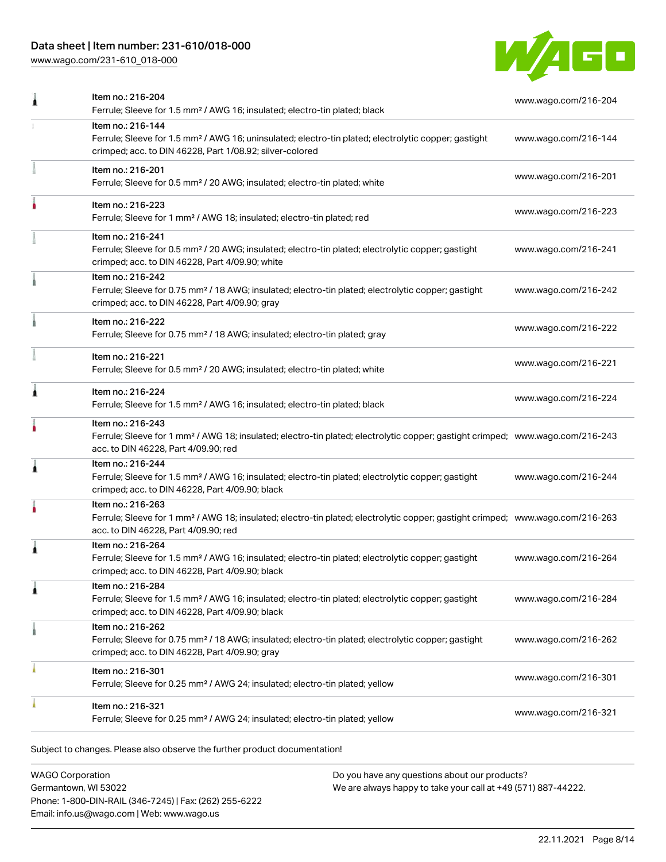## Data sheet | Item number: 231-610/018-000

[www.wago.com/231-610\\_018-000](http://www.wago.com/231-610_018-000)



|   | Item no.: 216-204<br>Ferrule; Sleeve for 1.5 mm <sup>2</sup> / AWG 16; insulated; electro-tin plated; black                                                                                             | www.wago.com/216-204 |
|---|---------------------------------------------------------------------------------------------------------------------------------------------------------------------------------------------------------|----------------------|
|   | Item no.: 216-144<br>Ferrule; Sleeve for 1.5 mm <sup>2</sup> / AWG 16; uninsulated; electro-tin plated; electrolytic copper; gastight<br>crimped; acc. to DIN 46228, Part 1/08.92; silver-colored       | www.wago.com/216-144 |
|   | Item no.: 216-201<br>Ferrule; Sleeve for 0.5 mm <sup>2</sup> / 20 AWG; insulated; electro-tin plated; white                                                                                             | www.wago.com/216-201 |
|   | Item no.: 216-223<br>Ferrule; Sleeve for 1 mm <sup>2</sup> / AWG 18; insulated; electro-tin plated; red                                                                                                 | www.wago.com/216-223 |
|   | Item no.: 216-241<br>Ferrule; Sleeve for 0.5 mm <sup>2</sup> / 20 AWG; insulated; electro-tin plated; electrolytic copper; gastight<br>crimped; acc. to DIN 46228, Part 4/09.90; white                  | www.wago.com/216-241 |
|   | Item no.: 216-242<br>Ferrule; Sleeve for 0.75 mm <sup>2</sup> / 18 AWG; insulated; electro-tin plated; electrolytic copper; gastight<br>crimped; acc. to DIN 46228, Part 4/09.90; gray                  | www.wago.com/216-242 |
|   | Item no.: 216-222<br>Ferrule; Sleeve for 0.75 mm <sup>2</sup> / 18 AWG; insulated; electro-tin plated; gray                                                                                             | www.wago.com/216-222 |
|   | Item no.: 216-221<br>Ferrule; Sleeve for 0.5 mm <sup>2</sup> / 20 AWG; insulated; electro-tin plated; white                                                                                             | www.wago.com/216-221 |
| Â | Item no.: 216-224<br>Ferrule; Sleeve for 1.5 mm <sup>2</sup> / AWG 16; insulated; electro-tin plated; black                                                                                             | www.wago.com/216-224 |
|   | Item no.: 216-243<br>Ferrule; Sleeve for 1 mm <sup>2</sup> / AWG 18; insulated; electro-tin plated; electrolytic copper; gastight crimped; www.wago.com/216-243<br>acc. to DIN 46228, Part 4/09.90; red |                      |
| j | Item no.: 216-244<br>Ferrule; Sleeve for 1.5 mm <sup>2</sup> / AWG 16; insulated; electro-tin plated; electrolytic copper; gastight<br>crimped; acc. to DIN 46228, Part 4/09.90; black                  | www.wago.com/216-244 |
|   | Item no.: 216-263<br>Ferrule; Sleeve for 1 mm <sup>2</sup> / AWG 18; insulated; electro-tin plated; electrolytic copper; gastight crimped; www.wago.com/216-263<br>acc. to DIN 46228, Part 4/09.90; red |                      |
| Â | Item no.: 216-264<br>Ferrule; Sleeve for 1.5 mm <sup>2</sup> / AWG 16; insulated; electro-tin plated; electrolytic copper; gastight<br>crimped; acc. to DIN 46228, Part 4/09.90; black                  | www.wago.com/216-264 |
|   | Item no.: 216-284<br>Ferrule; Sleeve for 1.5 mm <sup>2</sup> / AWG 16; insulated; electro-tin plated; electrolytic copper; gastight<br>crimped; acc. to DIN 46228, Part 4/09.90; black                  | www.wago.com/216-284 |
|   | Item no.: 216-262<br>Ferrule; Sleeve for 0.75 mm <sup>2</sup> / 18 AWG; insulated; electro-tin plated; electrolytic copper; gastight<br>crimped; acc. to DIN 46228, Part 4/09.90; gray                  | www.wago.com/216-262 |
|   | Item no.: 216-301<br>Ferrule; Sleeve for 0.25 mm <sup>2</sup> / AWG 24; insulated; electro-tin plated; yellow                                                                                           | www.wago.com/216-301 |
|   | Item no.: 216-321<br>Ferrule; Sleeve for 0.25 mm <sup>2</sup> / AWG 24; insulated; electro-tin plated; yellow                                                                                           | www.wago.com/216-321 |
|   |                                                                                                                                                                                                         |                      |

Subject to changes. Please also observe the further product documentation!

WAGO Corporation Germantown, WI 53022 Phone: 1-800-DIN-RAIL (346-7245) | Fax: (262) 255-6222 Email: info.us@wago.com | Web: www.wago.us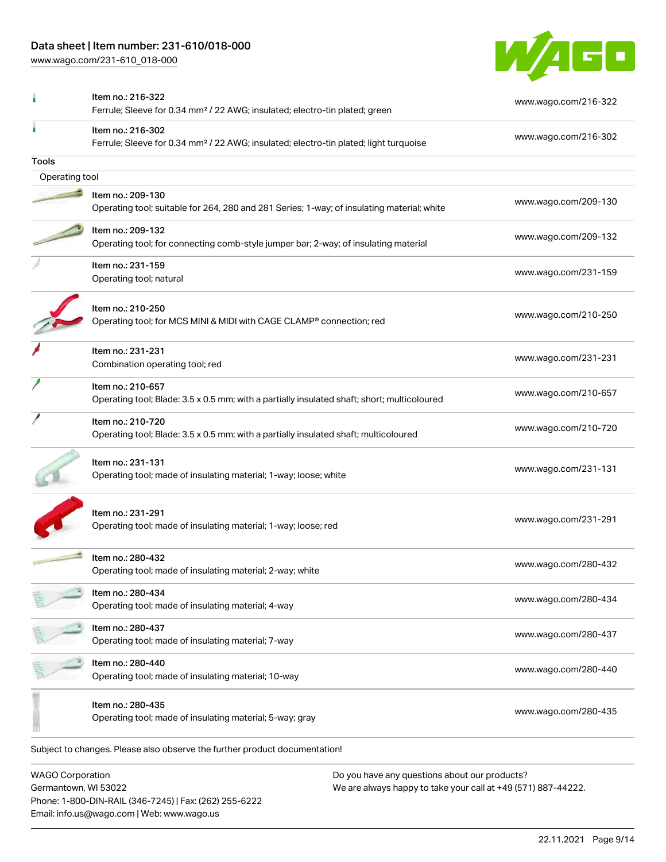## Data sheet | Item number: 231-610/018-000

[www.wago.com/231-610\\_018-000](http://www.wago.com/231-610_018-000)



|                | Item no.: 216-322<br>Ferrule; Sleeve for 0.34 mm <sup>2</sup> / 22 AWG; insulated; electro-tin plated; green           | www.wago.com/216-322 |
|----------------|------------------------------------------------------------------------------------------------------------------------|----------------------|
|                | Item no.: 216-302<br>Ferrule; Sleeve for 0.34 mm <sup>2</sup> / 22 AWG; insulated; electro-tin plated; light turquoise | www.wago.com/216-302 |
| Tools          |                                                                                                                        |                      |
| Operating tool |                                                                                                                        |                      |
|                | Item no.: 209-130                                                                                                      |                      |
|                | Operating tool; suitable for 264, 280 and 281 Series; 1-way; of insulating material; white                             | www.wago.com/209-130 |
|                | Item no.: 209-132                                                                                                      |                      |
|                | Operating tool; for connecting comb-style jumper bar; 2-way; of insulating material                                    | www.wago.com/209-132 |
|                | Item no.: 231-159                                                                                                      |                      |
|                | Operating tool; natural                                                                                                | www.wago.com/231-159 |
|                | Item no.: 210-250                                                                                                      |                      |
|                | Operating tool; for MCS MINI & MIDI with CAGE CLAMP® connection; red                                                   | www.wago.com/210-250 |
|                | Item no.: 231-231                                                                                                      |                      |
|                | Combination operating tool; red                                                                                        | www.wago.com/231-231 |
|                | Item no.: 210-657                                                                                                      |                      |
|                | Operating tool; Blade: 3.5 x 0.5 mm; with a partially insulated shaft; short; multicoloured                            | www.wago.com/210-657 |
|                | Item no.: 210-720                                                                                                      |                      |
|                | Operating tool; Blade: 3.5 x 0.5 mm; with a partially insulated shaft; multicoloured                                   | www.wago.com/210-720 |
|                | Item no.: 231-131<br>Operating tool; made of insulating material; 1-way; loose; white                                  | www.wago.com/231-131 |
|                | Item no.: 231-291<br>Operating tool; made of insulating material; 1-way; loose; red                                    | www.wago.com/231-291 |
|                | Item no.: 280-432<br>Operating tool; made of insulating material; 2-way; white                                         | www.wago.com/280-432 |
|                | ltem no.: 280-434<br>Operating tool; made of insulating material; 4-way                                                | www.wago.com/280-434 |
|                | Item no.: 280-437<br>Operating tool; made of insulating material; 7-way                                                | www.wago.com/280-437 |
|                | Item no.: 280-440<br>Operating tool; made of insulating material; 10-way                                               | www.wago.com/280-440 |
|                | Item no.: 280-435<br>Operating tool; made of insulating material; 5-way; gray                                          | www.wago.com/280-435 |
|                | Subject to changes. Please also observe the further product documentation!                                             |                      |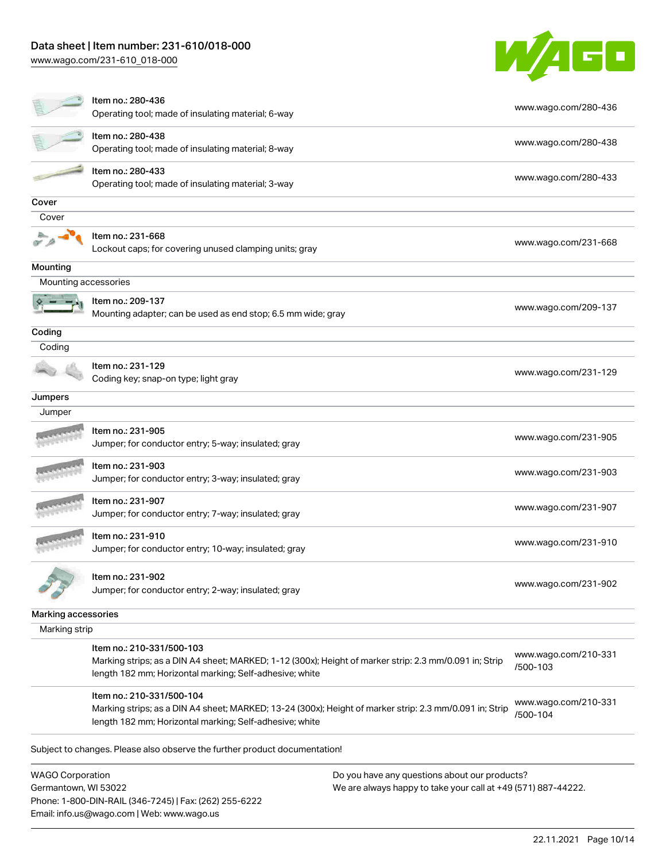Email: info.us@wago.com | Web: www.wago.us

[www.wago.com/231-610\\_018-000](http://www.wago.com/231-610_018-000)



|                                                 | Item no.: 280-436<br>Operating tool; made of insulating material; 6-way                                                                                                                         |                                                                                                                | www.wago.com/280-436             |
|-------------------------------------------------|-------------------------------------------------------------------------------------------------------------------------------------------------------------------------------------------------|----------------------------------------------------------------------------------------------------------------|----------------------------------|
|                                                 | Item no.: 280-438<br>Operating tool; made of insulating material; 8-way                                                                                                                         |                                                                                                                | www.wago.com/280-438             |
|                                                 | Item no.: 280-433<br>Operating tool; made of insulating material; 3-way                                                                                                                         |                                                                                                                | www.wago.com/280-433             |
| Cover                                           |                                                                                                                                                                                                 |                                                                                                                |                                  |
| Cover                                           |                                                                                                                                                                                                 |                                                                                                                |                                  |
|                                                 | Item no.: 231-668<br>Lockout caps; for covering unused clamping units; gray                                                                                                                     |                                                                                                                | www.wago.com/231-668             |
| Mounting                                        |                                                                                                                                                                                                 |                                                                                                                |                                  |
| Mounting accessories                            |                                                                                                                                                                                                 |                                                                                                                |                                  |
|                                                 | Item no.: 209-137<br>Mounting adapter; can be used as end stop; 6.5 mm wide; gray                                                                                                               |                                                                                                                | www.wago.com/209-137             |
| Coding                                          |                                                                                                                                                                                                 |                                                                                                                |                                  |
| Coding                                          |                                                                                                                                                                                                 |                                                                                                                |                                  |
|                                                 | Item no.: 231-129<br>Coding key; snap-on type; light gray                                                                                                                                       |                                                                                                                | www.wago.com/231-129             |
| Jumpers                                         |                                                                                                                                                                                                 |                                                                                                                |                                  |
| Jumper                                          |                                                                                                                                                                                                 |                                                                                                                |                                  |
|                                                 | Item no.: 231-905<br>Jumper; for conductor entry; 5-way; insulated; gray                                                                                                                        |                                                                                                                | www.wago.com/231-905             |
|                                                 | ltem no.: 231-903<br>Jumper; for conductor entry; 3-way; insulated; gray                                                                                                                        |                                                                                                                | www.wago.com/231-903             |
|                                                 | Item no.: 231-907<br>Jumper; for conductor entry; 7-way; insulated; gray                                                                                                                        |                                                                                                                | www.wago.com/231-907             |
|                                                 | Item no.: 231-910<br>Jumper; for conductor entry; 10-way; insulated; gray                                                                                                                       |                                                                                                                | www.wago.com/231-910             |
|                                                 | ltem no.: 231-902<br>Jumper; for conductor entry; 2-way; insulated; gray                                                                                                                        |                                                                                                                | www.wago.com/231-902             |
| Marking accessories                             |                                                                                                                                                                                                 |                                                                                                                |                                  |
| Marking strip                                   |                                                                                                                                                                                                 |                                                                                                                |                                  |
|                                                 | Item no.: 210-331/500-103<br>Marking strips; as a DIN A4 sheet; MARKED; 1-12 (300x); Height of marker strip: 2.3 mm/0.091 in; Strip<br>length 182 mm; Horizontal marking; Self-adhesive; white  |                                                                                                                | www.wago.com/210-331<br>/500-103 |
|                                                 | Item no.: 210-331/500-104<br>Marking strips; as a DIN A4 sheet; MARKED; 13-24 (300x); Height of marker strip: 2.3 mm/0.091 in; Strip<br>length 182 mm; Horizontal marking; Self-adhesive; white |                                                                                                                | www.wago.com/210-331<br>/500-104 |
|                                                 | Subject to changes. Please also observe the further product documentation!                                                                                                                      |                                                                                                                |                                  |
| <b>WAGO Corporation</b><br>Germantown, WI 53022 | Phone: 1-800-DIN-RAIL (346-7245)   Fax: (262) 255-6222                                                                                                                                          | Do you have any questions about our products?<br>We are always happy to take your call at +49 (571) 887-44222. |                                  |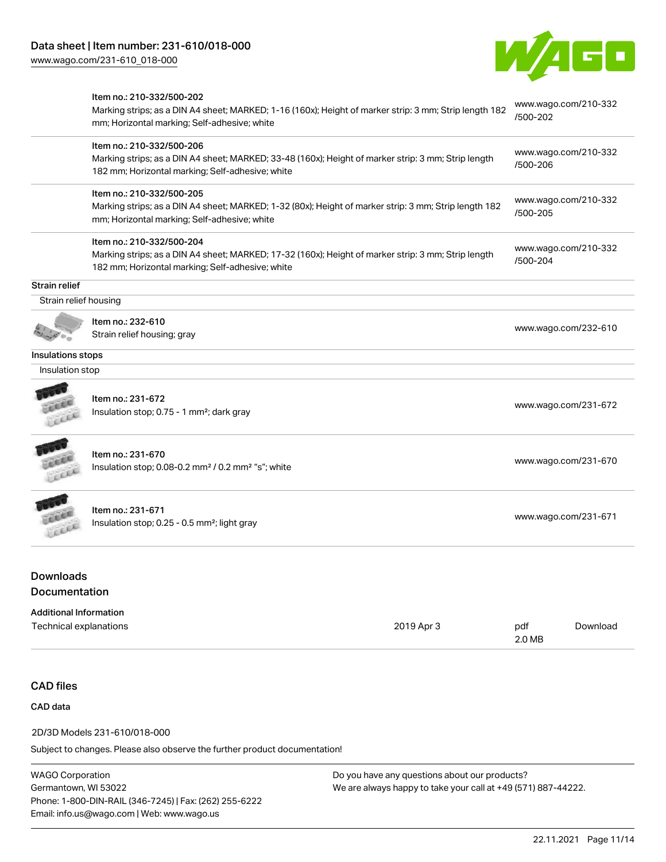[www.wago.com/231-610\\_018-000](http://www.wago.com/231-610_018-000)



|                                        | Item no.: 210-332/500-202<br>Marking strips; as a DIN A4 sheet; MARKED; 1-16 (160x); Height of marker strip: 3 mm; Strip length 182                     | /500-202      | www.wago.com/210-332 |
|----------------------------------------|---------------------------------------------------------------------------------------------------------------------------------------------------------|---------------|----------------------|
|                                        | mm; Horizontal marking; Self-adhesive; white                                                                                                            |               |                      |
|                                        | Item no.: 210-332/500-206                                                                                                                               |               | www.wago.com/210-332 |
|                                        | Marking strips; as a DIN A4 sheet; MARKED; 33-48 (160x); Height of marker strip: 3 mm; Strip length<br>182 mm; Horizontal marking; Self-adhesive; white | /500-206      |                      |
|                                        | Item no.: 210-332/500-205                                                                                                                               |               | www.wago.com/210-332 |
|                                        | Marking strips; as a DIN A4 sheet; MARKED; 1-32 (80x); Height of marker strip: 3 mm; Strip length 182<br>mm; Horizontal marking; Self-adhesive; white   | /500-205      |                      |
|                                        | Item no.: 210-332/500-204                                                                                                                               |               | www.wago.com/210-332 |
|                                        | Marking strips; as a DIN A4 sheet; MARKED; 17-32 (160x); Height of marker strip: 3 mm; Strip length                                                     | /500-204      |                      |
|                                        | 182 mm; Horizontal marking; Self-adhesive; white                                                                                                        |               |                      |
| Strain relief<br>Strain relief housing |                                                                                                                                                         |               |                      |
|                                        |                                                                                                                                                         |               |                      |
|                                        | Item no.: 232-610<br>Strain relief housing; gray                                                                                                        |               | www.wago.com/232-610 |
|                                        |                                                                                                                                                         |               |                      |
| Insulations stops                      |                                                                                                                                                         |               |                      |
| Insulation stop                        |                                                                                                                                                         |               |                      |
|                                        | Item no.: 231-672                                                                                                                                       |               |                      |
| Leee                                   | Insulation stop; 0.75 - 1 mm <sup>2</sup> ; dark gray                                                                                                   |               | www.wago.com/231-672 |
|                                        |                                                                                                                                                         |               |                      |
|                                        | Item no.: 231-670                                                                                                                                       |               | www.wago.com/231-670 |
|                                        | Insulation stop; 0.08-0.2 mm <sup>2</sup> / 0.2 mm <sup>2</sup> "s"; white                                                                              |               |                      |
|                                        | Item no.: 231-671                                                                                                                                       |               |                      |
|                                        | Insulation stop; 0.25 - 0.5 mm <sup>2</sup> ; light gray                                                                                                |               | www.wago.com/231-671 |
| <b>Downloads</b>                       |                                                                                                                                                         |               |                      |
| Documentation                          |                                                                                                                                                         |               |                      |
| <b>Additional Information</b>          |                                                                                                                                                         |               |                      |
| Technical explanations                 | 2019 Apr 3                                                                                                                                              | pdf<br>2.0 MB | Download             |
|                                        |                                                                                                                                                         |               |                      |
| <b>CAD files</b>                       |                                                                                                                                                         |               |                      |

CAD data

2D/3D Models 231-610/018-000

Subject to changes. Please also observe the further product documentation!

WAGO Corporation Germantown, WI 53022 Phone: 1-800-DIN-RAIL (346-7245) | Fax: (262) 255-6222 Email: info.us@wago.com | Web: www.wago.us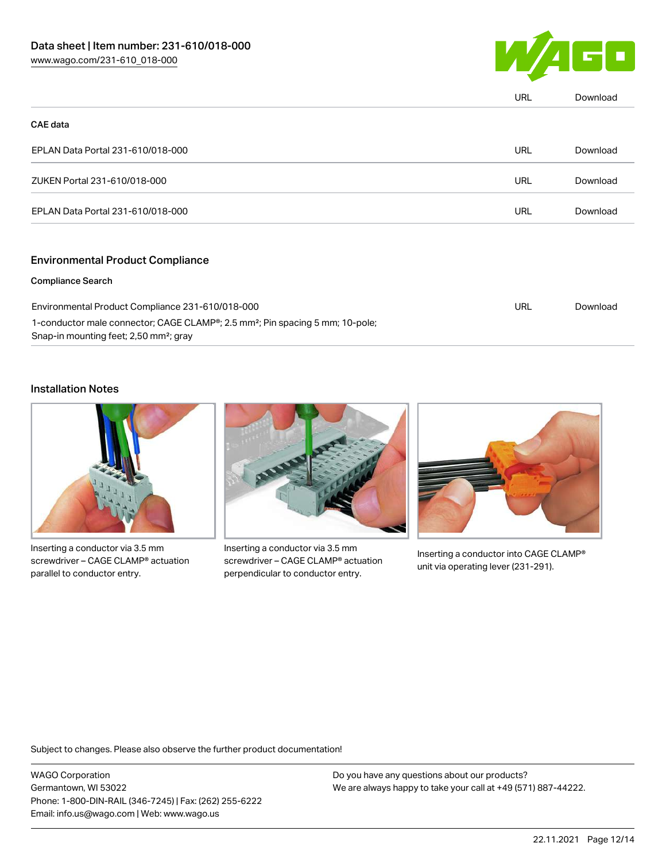

|                                   | <b>URL</b> | Download |
|-----------------------------------|------------|----------|
| <b>CAE data</b>                   |            |          |
| EPLAN Data Portal 231-610/018-000 | <b>URL</b> | Download |
| ZUKEN Portal 231-610/018-000      | URL        | Download |
| EPLAN Data Portal 231-610/018-000 | URL        | Download |
|                                   |            |          |

#### Environmental Product Compliance

#### Compliance Search

| Environmental Product Compliance 231-610/018-000                                                       | URL | Download |
|--------------------------------------------------------------------------------------------------------|-----|----------|
| 1-conductor male connector; CAGE CLAMP <sup>®</sup> ; 2.5 mm <sup>2</sup> ; Pin spacing 5 mm; 10-pole; |     |          |
| Snap-in mounting feet; 2,50 mm <sup>2</sup> ; gray                                                     |     |          |

### Installation Notes



Inserting a conductor via 3.5 mm screwdriver – CAGE CLAMP® actuation parallel to conductor entry.



Inserting a conductor via 3.5 mm screwdriver – CAGE CLAMP® actuation perpendicular to conductor entry.



Inserting a conductor into CAGE CLAMP® unit via operating lever (231-291).

Subject to changes. Please also observe the further product documentation!

WAGO Corporation Germantown, WI 53022 Phone: 1-800-DIN-RAIL (346-7245) | Fax: (262) 255-6222 Email: info.us@wago.com | Web: www.wago.us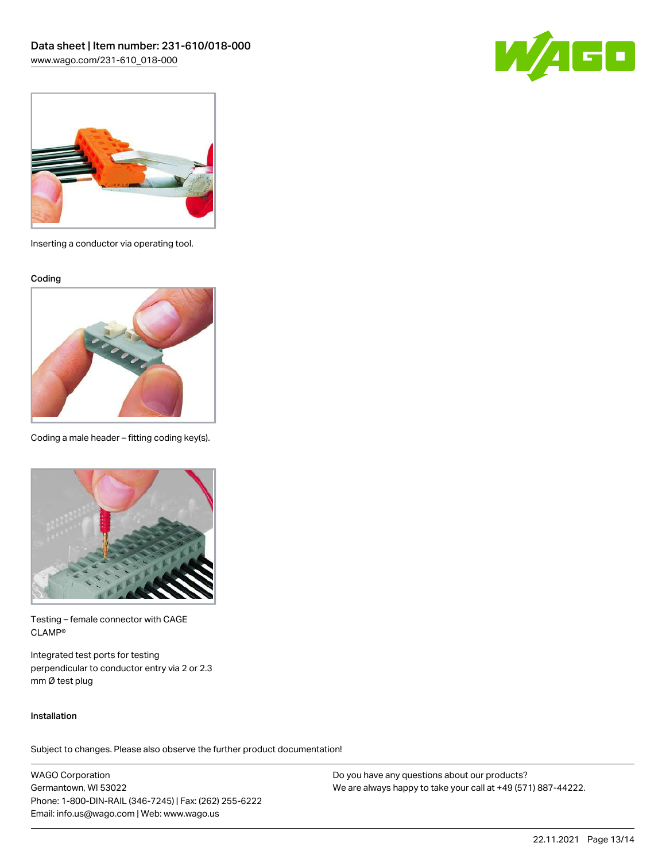



Inserting a conductor via operating tool.

Coding



Coding a male header – fitting coding key(s).



Testing – female connector with CAGE CLAMP®

Integrated test ports for testing perpendicular to conductor entry via 2 or 2.3 mm Ø test plug

#### Installation

Subject to changes. Please also observe the further product documentation!

WAGO Corporation Germantown, WI 53022 Phone: 1-800-DIN-RAIL (346-7245) | Fax: (262) 255-6222 Email: info.us@wago.com | Web: www.wago.us